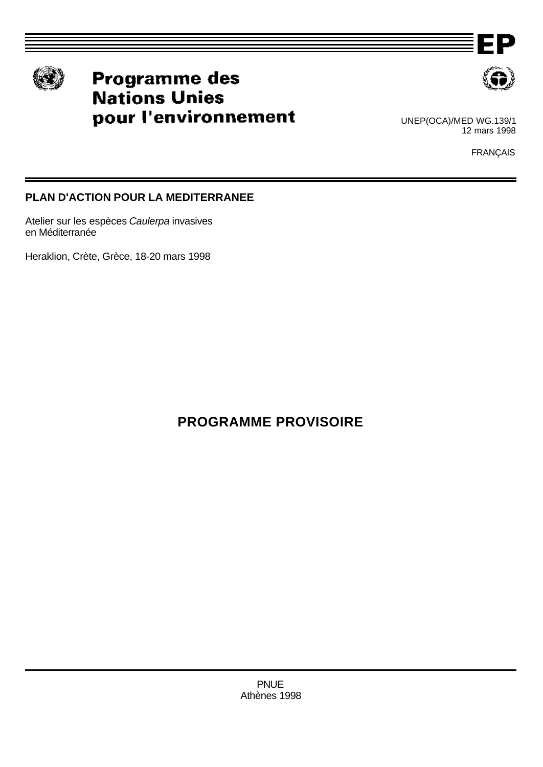

# Programme des **Nations Unies** pour l'environnement



ΕP

UNEP(OCA)/MED WG.139/1 12 mars 1998

FRANÇAIS

# **PLAN D'ACTION POUR LA MEDITERRANEE**

Atelier sur les espèces *Caulerpa* invasives en Méditerranée

Heraklion, Crète, Grèce, 18-20 mars 1998

**PROGRAMME PROVISOIRE**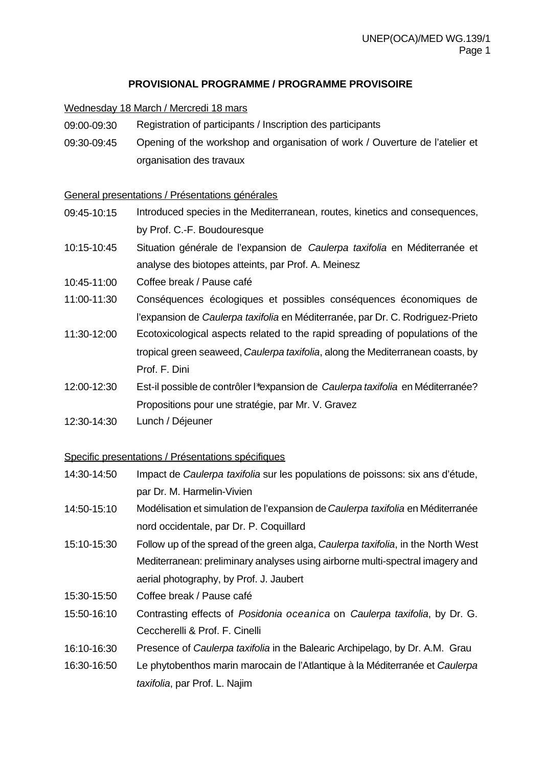## **PROVISIONAL PROGRAMME / PROGRAMME PROVISOIRE**

#### Wednesday 18 March / Mercredi 18 mars

- 09:00-09:30 Registration of participants / Inscription des participants
- 09:30-09:45 Opening of the workshop and organisation of work / Ouverture de l'atelier et organisation des travaux

#### General presentations / Présentations générales

- 09:45-10:15 Introduced species in the Mediterranean, routes, kinetics and consequences, by Prof. C.-F. Boudouresque
- 10:15-10:45 Situation générale de l'expansion de *Caulerpa taxifolia* en Méditerranée et analyse des biotopes atteints, par Prof. A. Meinesz
- 10:45-11:00 Coffee break / Pause café
- 11:00-11:30 Conséquences écologiques et possibles conséquences économiques de l'expansion de *Caulerpa taxifolia* en Méditerranée, par Dr. C. Rodriguez-Prieto
- 11:30-12:00 Ecotoxicological aspects related to the rapid spreading of populations of the tropical green seaweed, *Caulerpa taxifolia*, along the Mediterranean coasts, by Prof. F. Dini
- 12:00-12:30 Est-il possible de contrôler l\*expansion de *Caulerpa taxifolia* en Méditerranée? Propositions pour une stratégie, par Mr. V. Gravez
- 12:30-14:30 Lunch / Déjeuner

#### Specific presentations / Présentations spécifiques

- 14:30-14:50 Impact de *Caulerpa taxifolia* sur les populations de poissons: six ans d'étude, par Dr. M. Harmelin-Vivien
- 14:50-15:10 Modélisation et simulation de l'expansion de *Caulerpa taxifolia* en Méditerranée nord occidentale, par Dr. P. Coquillard
- 15:10-15:30 Follow up of the spread of the green alga, *Caulerpa taxifolia*, in the North West Mediterranean: preliminary analyses using airborne multi-spectral imagery and aerial photography, by Prof. J. Jaubert
- 15:30-15:50 Coffee break / Pause café
- 15:50-16:10 Contrasting effects of *Posidonia oceanica* on *Caulerpa taxifolia*, by Dr. G. Ceccherelli & Prof. F. Cinelli
- 16:10-16:30 Presence of *Caulerpa taxifolia* in the Balearic Archipelago, by Dr. A.M. Grau
- 16:30-16:50 Le phytobenthos marin marocain de l'Atlantique à la Méditerranée et *Caulerpa taxifolia*, par Prof. L. Najim